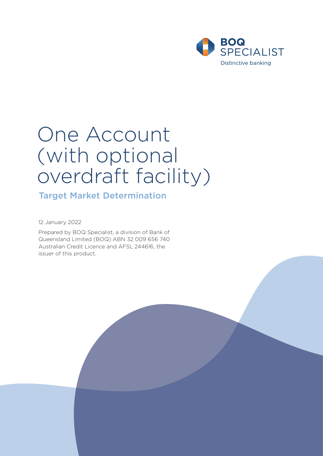

# One Account (with optional overdraft facility)

Target Market Determination

12 January 2022

Prepared by BOQ Specialist, a division of Bank of Queensland Limited (BOQ) ABN 32 009 656 740 Australian Credit Licence and AFSL 244616, the issuer of this product.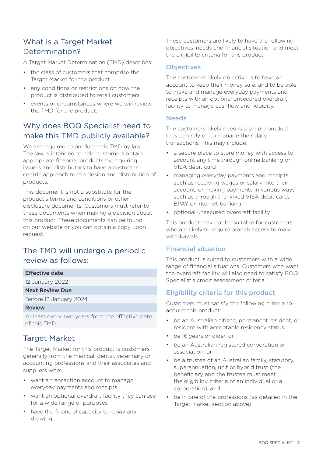# What is a Target Market Determination?

A Target Market Determination (TMD) describes:

- the class of customers that comprise the Target Market for the product
- any conditions or restrictions on how the product is distributed to retail customers
- events or circumstances where we will review the TMD for the product.

# Why does BOQ Specialist need to make this TMD publicly available?

We are required to produce this TMD by law. The law is intended to help customers obtain appropriate financial products by requiring issuers and distributors to have a customer centric approach to the design and distribution of products.

This document is not a substitute for the product's terms and conditions or other disclosure documents. Customers must refer to these documents when making a decision about this product. These documents can be found on our website or you can obtain a copy upon request.

# The TMD will undergo a periodic review as follows:

#### Effective date

12 January 2022

#### Next Review Due

Before 12 January 2024

#### Review

At least every two years from the effective date of this TMD

## Target Market

The Target Market for this product is customers generally from the medical, dental, veterinary or accounting professions and their associates and suppliers who:

- want a transaction account to manage everyday payments and receipts
- want an optional overdraft facility they can use for a wide range of purposes
- have the financial capacity to repay any drawing.

These customers are likely to have the following objectives, needs and financial situation and meet the eligibility criteria for this product.

#### **Objectives**

The customers' likely objective is to have an account to keep their money safe, and to be able to make and manage everyday payments and receipts with an optional unsecured overdraft facility to manage cashflow and liquidity.

#### **Needs**

The customers' likely need is a simple product they can rely on to manage their daily transactions. This may include:

- a secure place to store money with access to account any time through online banking or VISA debit card
- managing everyday payments and receipts, such as receiving wages or salary into their account, or making payments in various ways such as through the linked VISA debit card, BPAY or internet banking
- optional unsecured overdraft facility.

This product may not be suitable for customers who are likely to require branch access to make withdrawals.

#### Financial situation

This product is suited to customers with a wide range of financial situations. Customers who want the overdraft facility will also need to satisfy BOQ Specialist's credit assessment criteria.

#### Eligibility criteria for this product

Customers must satisfy the following criteria to acquire this product:

- be an Australian citizen, permanent resident, or resident with acceptable residency status
- be 16 years or older, or
- be an Australian registered corporation or association, or
- be a trustee of an Australian family, statutory, superannuation, unit or hybrid trust (the beneficiary and the trustee must meet the eligibility criteria of an individual or a corporation), and
- be in one of the professions (as detailed in the Target Market section above).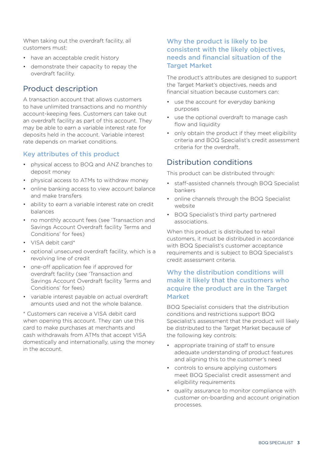When taking out the overdraft facility, all customers must:

- have an acceptable credit history
- demonstrate their capacity to repay the overdraft facility.

## Product description

A transaction account that allows customers to have unlimited transactions and no monthly account-keeping fees. Customers can take out an overdraft facility as part of this account. They may be able to earn a variable interest rate for deposits held in the account. Variable interest rate depends on market conditions.

## Key attributes of this product

- physical access to BOQ and ANZ branches to deposit money
- physical access to ATMs to withdraw money
- online banking access to view account balance and make transfers
- ability to earn a variable interest rate on credit balances
- no monthly account fees (see 'Transaction and Savings Account Overdraft facility Terms and Conditions' for fees)
- VISA debit card\*
- optional unsecured overdraft facility, which is a revolving line of credit
- one-off application fee if approved for overdraft facility (see 'Transaction and Savings Account Overdraft facility Terms and Conditions' for fees)
- variable interest payable on actual overdraft amounts used and not the whole balance.

\* Customers can receive a VISA debit card when opening this account. They can use this card to make purchases at merchants and cash withdrawals from ATMs that accept VISA domestically and internationally, using the money in the account.

## Why the product is likely to be consistent with the likely objectives, needs and financial situation of the **Target Market**

The product's attributes are designed to support the Target Market's objectives, needs and financial situation because customers can:

- use the account for everyday banking purposes
- use the optional overdraft to manage cash flow and liquidity
- only obtain the product if they meet eligibility criteria and BOQ Specialist's credit assessment criteria for the overdraft.

## Distribution conditions

This product can be distributed through:

- staff-assisted channels through BOQ Specialist bankers
- online channels through the BOQ Specialist website
- BOQ Specialist's third party partnered associations.

When this product is distributed to retail customers, it must be distributed in accordance with BOQ Specialist's customer acceptance requirements and is subject to BOQ Specialist's credit assessment criteria.

### Why the distribution conditions will make it likely that the customers who acquire the product are in the Target Market

BOQ Specialist considers that the distribution conditions and restrictions support BOQ Specialist's assessment that the product will likely be distributed to the Target Market because of the following key controls:

- appropriate training of staff to ensure adequate understanding of product features and aligning this to the customer's need
- controls to ensure applying customers meet BOQ Specialist credit assessment and eligibility requirements
- quality assurance to monitor compliance with customer on-boarding and account origination processes.